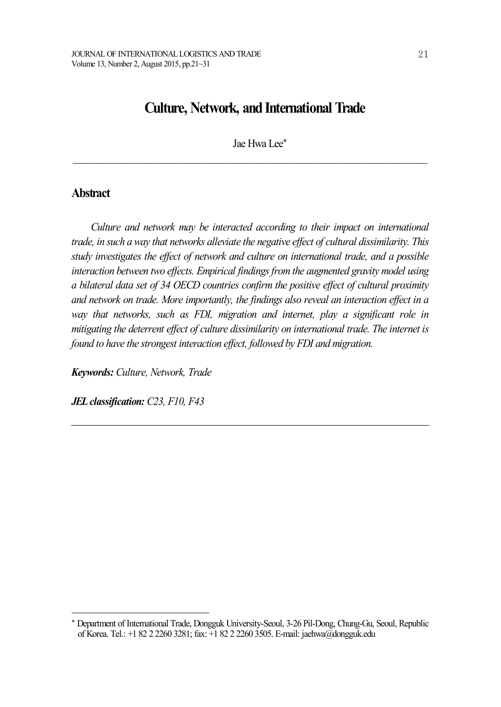# **Culture, Network, and International Trade**

Jae Hwa Lee\*

 $\mathcal{L}_\text{max} = \mathcal{L}_\text{max} = \mathcal{L}_\text{max} = \mathcal{L}_\text{max} = \mathcal{L}_\text{max} = \mathcal{L}_\text{max} = \mathcal{L}_\text{max} = \mathcal{L}_\text{max} = \mathcal{L}_\text{max} = \mathcal{L}_\text{max} = \mathcal{L}_\text{max} = \mathcal{L}_\text{max} = \mathcal{L}_\text{max} = \mathcal{L}_\text{max} = \mathcal{L}_\text{max} = \mathcal{L}_\text{max} = \mathcal{L}_\text{max} = \mathcal{L}_\text{max} = \mathcal{$ 

## **Abstract**

*Culture and network may be interacted according to their impact on international trade, in such a way that networks alleviate the negative ef ect of cultural dissimilarity. This study investigates the ef ect of network and culture on international trade, and a possible interaction between two ef ects. Empirical findingsfrom the augmented gravity model using a bilateral data set of 34 OECD countries confirm the positive ef ect of cultural proximity and network on trade. More importantly, the findings also reveal an interaction ef ect in a way that networks, such as FDI, migration and internet, play a significant role in mitigating the deterrent ef ect of culture dissimilarity on international trade. The internet is found to have the strongest interaction ef ect, followed by FDI and migration.*

*Keywords: Culture, Network, Trade*

*JELclassification: C23, F10, F43*

<sup>\*</sup> Department of International Trade, Dongguk University-Seoul, 3-26 Pil-Dong, Chung-Gu, Seoul, Republic of Korea. Tel.: +1 82 2 2260 3281; fax: +1 82 2 2260 3505. E-mail: jaehwa@dongguk.edu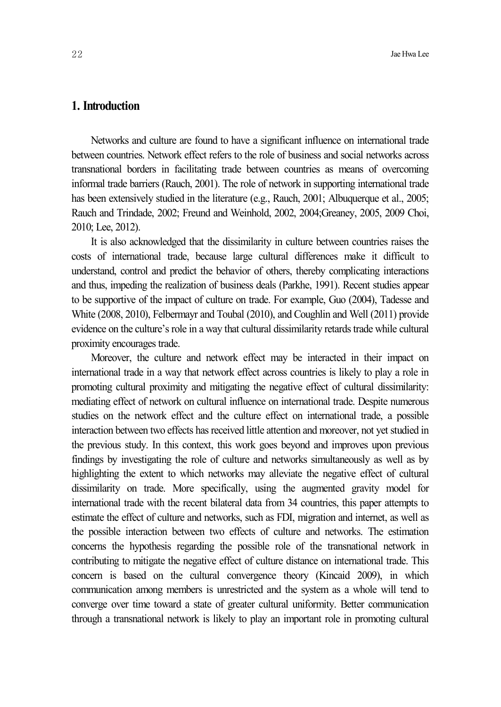## **1. Introduction**

Networks and culture are found to have a significant influence on international trade between countries. Network effect refers to the role of business and social networks across transnational borders in facilitating trade between countries as means of overcoming informal trade barriers (Rauch, 2001). The role of network in supporting international trade has been extensively studied in the literature (e.g., Rauch, 2001; Albuquerque et al., 2005; Rauch and Trindade, 2002; Freund and Weinhold, 2002, 2004;Greaney, 2005, 2009 Choi, 2010; Lee, 2012).

It is also acknowledged that the dissimilarity in culture between countries raises the costs of international trade, because large cultural differences make it difficult to understand, control and predict the behavior of others, thereby complicating interactions and thus, impeding the realization of business deals (Parkhe, 1991). Recent studies appear to be supportive of the impact of culture on trade. For example, Guo (2004), Tadesse and White (2008, 2010), Felbermayr and Toubal (2010), and Coughlin and Well (2011) provide evidence on the culture's role in a way that cultural dissimilarity retards trade while cultural proximity encourages trade.

Moreover, the culture and network effect may be interacted in their impact on international trade in a way that network effect across countries is likely to play a role in promoting cultural proximity and mitigating the negative effect of cultural dissimilarity: mediating effect of network on cultural influence on international trade. Despite numerous studies on the network effect and the culture effect on international trade, a possible interaction between two effects has received little attention and moreover, not yet studied in the previous study. In this context, this work goes beyond and improves upon previous findings by investigating the role of culture and networks simultaneously as well as by highlighting the extent to which networks may alleviate the negative effect of cultural dissimilarity on trade. More specifically, using the augmented gravity model for international trade with the recent bilateral data from 34 countries, this paper attempts to estimate the effect of culture and networks, such as FDI, migration and internet, as well as the possible interaction between two effects of culture and networks. The estimation concerns the hypothesis regarding the possible role of the transnational network in contributing to mitigate the negative effect of culture distance on international trade. This concern is based on the cultural convergence theory (Kincaid 2009), in which communication among members is unrestricted and the system as a whole will tend to converge over time toward a state of greater cultural uniformity. Better communication through a transnational network is likely to play an important role in promoting cultural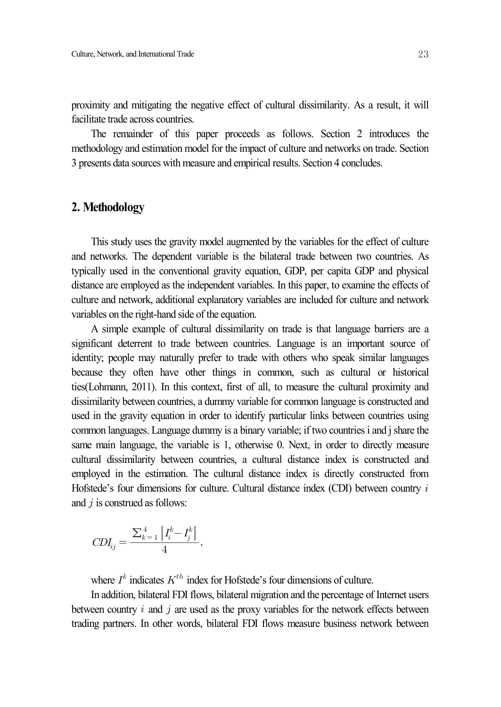proximity and mitigating the negative effect of cultural dissimilarity. As a result, it will facilitate trade across countries.

The remainder of this paper proceeds as follows. Section 2 introduces the methodology and estimation model for the impact of culture and networks on trade. Section 3 presents data sources with measure and empirical results. Section 4 concludes.

## **2. Methodology**

This study uses the gravity model augmented by the variables for the effect of culture and networks. The dependent variable is the bilateral trade between two countries. As typically used in the conventional gravity equation, GDP, per capita GDP and physical distance are employed as the independent variables. In this paper, to examine the effects of culture and network, additional explanatory variables are included for culture and network variables on the right-hand side of the equation.

A simple example of cultural dissimilarity on trade is that language barriers are a significant deterrent to trade between countries. Language is an important source of identity; people may naturally prefer to trade with others who speak similar languages because they often have other things in common, such as cultural or historical ties(Lohmann, 2011). In this context, first of all, to measure the cultural proximity and dissimilarity between countries, a dummy variable for common language is constructed and used in the gravity equation in order to identify particular links between countries using common languages. Language dummy is a binary variable; if two countries i and j share the same main language, the variable is 1, otherwise 0. Next, in order to directly measure cultural dissimilarity between countries, a cultural distance index is constructed and employed in the estimation. The cultural distance index is directly constructed from Hofstede's four dimensions for culture. Cultural distance index  $(CDI)$  between country  $i$ and  $i$  is construed as follows: In language, the varial<br>lissimilarity between<br>in the estimation. T<br>s four dimensions for<br>onstrued as follows:<br> $r_{ij} = \frac{\sum_{k=1}^{4} |I_i^k - I_j^k|}{4}$ 

$$
CDI_{ij} = \frac{\sum_{k=1}^{4} \left| I_i^k - I_j^k \right|}{4},
$$

where  $I^k$  indicates  $K^{th}$  index for Hofstede's four dimensions of culture.

In addition, bilateral FDI flows, bilateral migration and the percentage of Internet users between country  $i$  and  $j$  are used as the proxy variables for the network effects between trading partners. In other words, bilateral FDI flows measure business network between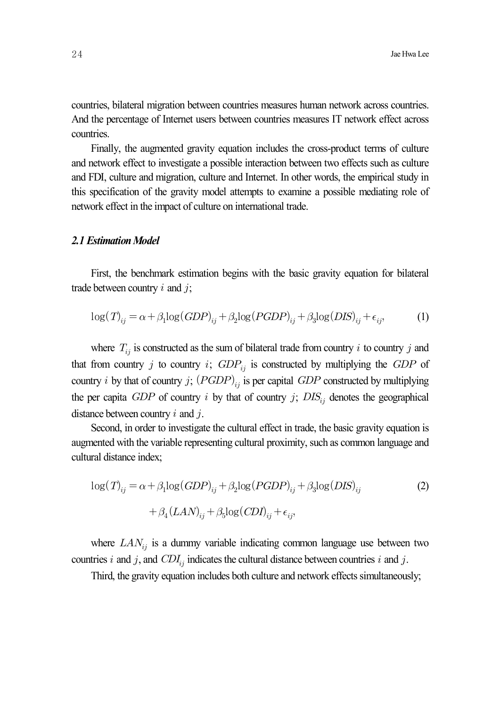countries, bilateral migration between countries measures human network across countries. And the percentage of Internet users between countries measures IT network effect across countries.

Finally, the augmented gravity equation includes the cross-product terms of culture and network effect to investigate a possible interaction between two effects such as culture and FDI, culture and migration, culture and Internet. In other words, the empirical study in this specification of the gravity model attempts to examine a possible mediating role of network effect in the impact of culture on international trade.

#### *2.1 EstimationModel*

First, the benchmark estimation begins with the basic gravity equation for bilateral trade between country  $i$  and  $j$ ;

$$
\log(T)_{ij} = \alpha + \beta_1 \log(GDP)_{ij} + \beta_2 \log(PGDP)_{ij} + \beta_3 \log(DIS)_{ij} + \epsilon_{ij},\tag{1}
$$

where  $T_{ij}$  is constructed as the sum of bilateral trade from country i to country j and that from country *i* to country *i*;  $GDP_{ij}$  is constructed by multiplying the  $GDP$  of country *i* by that of country *j*;  $(PGDP)_{ij}$  is per capital *GDP* constructed by multiplying the per capita  $GDP$  of country *i* by that of country *j*;  $DIS_{ii}$  denotes the geographical distance between country  $i$  and  $j$ .

Second, in order to investigate the cultural effect in trade, the basic gravity equation is augmented with the variable representing cultural proximity, such as common language and cultural distance index;

$$
\log(T)_{ij} = \alpha + \beta_1 \log(GDP)_{ij} + \beta_2 \log(PGDP)_{ij} + \beta_3 \log(DIS)_{ij}
$$
  
+ 
$$
\beta_4(LAN)_{ij} + \beta_5 \log(CDI)_{ij} + \epsilon_{ij},
$$
 (2)

where  $LAN_{ij}$  is a dummy variable indicating common language use between two countries *i* and *j*, and  $CDI_{ij}$  indicates the cultural distance between countries *i* and *j*.

Third, the gravity equation includes both culture and network effects simultaneously;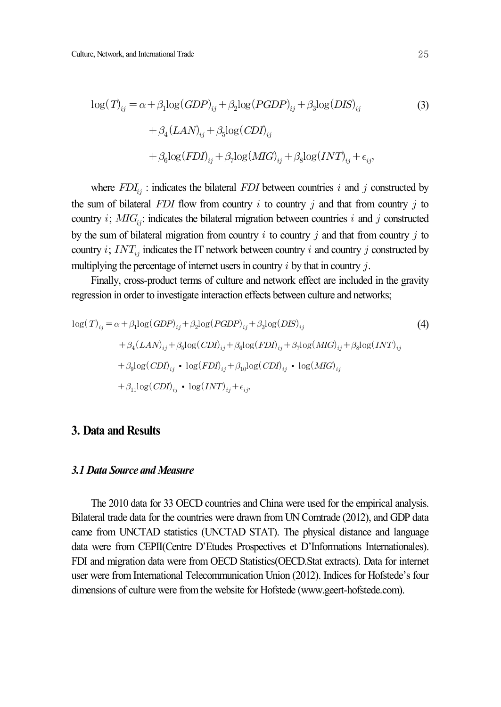$$
\log(T)_{ij} = \alpha + \beta_1 \log(GDP)_{ij} + \beta_2 \log(PGDP)_{ij} + \beta_3 \log(DIS)_{ij}
$$
  
+ 
$$
\beta_4 (LAN)_{ij} + \beta_5 \log(CDI)_{ij}
$$
  
+ 
$$
\beta_6 \log(FDI)_{ij} + \beta_7 \log(MIG)_{ij} + \beta_8 \log(INT)_{ij} + \epsilon_{ij},
$$
 (3)

where  $FDI_{ij}$ : indicates the bilateral  $FDI$  between countries *i* and *j* constructed by the sum of bilateral  $FDI$  flow from country *i* to country *j* and that from country *j* to country *i*;  $MIG_{ij}$ : indicates the bilateral migration between countries *i* and *j* constructed by the sum of bilateral migration from country  $i$  to country  $j$  and that from country  $j$  to country *i*;  $INT_{ij}$  indicates the IT network between country *i* and country *j* constructed by multiplying the percentage of internet users in country  $i$  by that in country  $j$ .

Finally, cross-product terms of culture and network effect are included in the gravity regression in order to investigate interaction effects between culture and networks;

$$
\log(T)_{ij} = \alpha + \beta_1 \log(GDP)_{ij} + \beta_2 \log(PGDP)_{ij} + \beta_3 \log(DIS)_{ij}
$$
\n
$$
+ \beta_4 (LAN)_{ij} + \beta_5 \log(CDI)_{ij} + \beta_6 \log(FDI)_{ij} + \beta_7 \log(MIG)_{ij} + \beta_8 \log(INT)_{ij}
$$
\n
$$
+ \beta_9 \log(CDI)_{ij} \cdot \log(FDI)_{ij} + \beta_{10} \log(CDI)_{ij} \cdot \log(MIG)_{ij}
$$
\n
$$
+ \beta_{11} \log(CDI)_{ij} \cdot \log(INT)_{ij} + \epsilon_{ij}
$$
\n(4)

### **3. Data and Results**

#### *3.1 Data Source and Measure*

The 2010 data for 33 OECD countries and China were used for the empirical analysis. Bilateral trade data for the countries were drawn from UN Comtrade (2012), and GDP data came from UNCTAD statistics (UNCTAD STAT). The physical distance and language data were from CEPII(Centre D'Etudes Prospectives et D'Informations Internationales). FDI and migration data were from OECD Statistics(OECD.Stat extracts). Data for internet user were from International Telecommunication Union (2012). Indices for Hofstede's four dimensions of culture were from the website for Hofstede (www.geert-hofstede.com).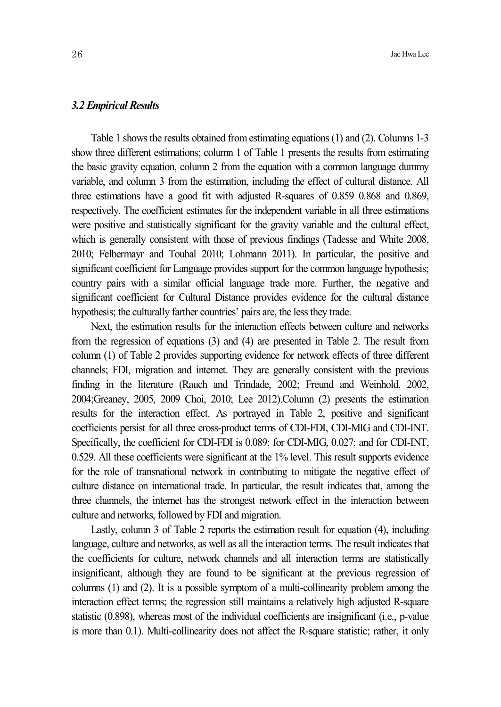#### *3.2 Empirical Results*

Table 1 shows the results obtained fromestimating equations (1) and (2). Columns 1-3 show three different estimations; column 1 of Table 1 presents the results from estimating the basic gravity equation, column 2 from the equation with a common language dummy variable, and column 3 from the estimation, including the effect of cultural distance. All three estimations have a good fit with adjusted R-squares of 0.859 0.868 and 0.869, respectively. The coefficient estimates for the independent variable in all three estimations were positive and statistically significant for the gravity variable and the cultural effect, which is generally consistent with those of previous findings (Tadesse and White 2008, 2010; Felbermayr and Toubal 2010; Lohmann 2011). In particular, the positive and significant coefficient for Language provides support for the common language hypothesis; country pairs with a similar official language trade more. Further, the negative and significant coefficient for Cultural Distance provides evidence for the cultural distance hypothesis; the culturally farther countries' pairs are, the less they trade.

Next, the estimation results for the interaction effects between culture and networks from the regression of equations (3) and (4) are presented in Table 2. The result from column (1) of Table 2 provides supporting evidence for network effects of three different channels; FDI, migration and internet. They are generally consistent with the previous finding in the literature (Rauch and Trindade, 2002; Freund and Weinhold, 2002, 2004;Greaney, 2005, 2009 Choi, 2010; Lee 2012).Column (2) presents the estimation results for the interaction effect. As portrayed in Table 2, positive and significant coefficients persist for all three cross-product terms of CDI-FDI, CDI-MIG and CDI-INT. Specifically, the coefficient for CDI-FDI is 0.089; for CDI-MIG, 0.027; and for CDI-INT, 0.529. All these coefficients were significant at the 1% level. This result supports evidence for the role of transnational network in contributing to mitigate the negative effect of culture distance on international trade. In particular, the result indicates that, among the three channels, the internet has the strongest network effect in the interaction between culture and networks, followed by FDI and migration.

Lastly, column 3 of Table 2 reports the estimation result for equation (4), including language, culture and networks, as well as all the interaction terms. The result indicates that the coefficients for culture, network channels and all interaction terms are statistically insignificant, although they are found to be significant at the previous regression of columns (1) and (2). It is a possible symptom of a multi-collinearity problem among the interaction effect terms; the regression still maintains a relatively high adjusted R-square statistic (0.898), whereas most of the individual coefficients are insignificant (i.e., p-value is more than 0.1). Multi-collinearity does not affect the R-square statistic; rather, it only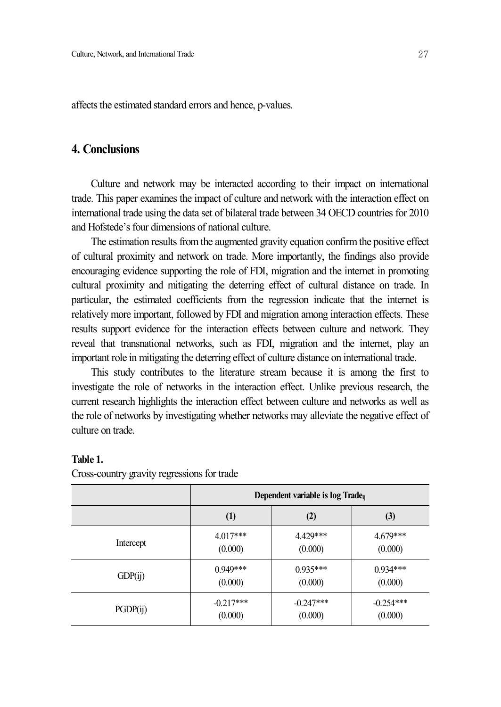affects the estimated standard errors and hence, p-values.

## **4. Conclusions**

Culture and network may be interacted according to their impact on international trade. This paper examines the impact of culture and network with the interaction effect on international trade using the data set of bilateral trade between 34 OECD countries for 2010 and Hofstede's four dimensions of national culture.

The estimation results from the augmented gravity equation confirm the positive effect of cultural proximity and network on trade. More importantly, the findings also provide encouraging evidence supporting the role of FDI, migration and the internet in promoting cultural proximity and mitigating the deterring effect of cultural distance on trade. In particular, the estimated coefficients from the regression indicate that the internet is relatively more important, followed by FDI and migration among interaction effects. These results support evidence for the interaction effects between culture and network. They reveal that transnational networks, such as FDI, migration and the internet, play an important role in mitigating the deterring effect of culture distance on international trade.

This study contributes to the literature stream because it is among the first to investigate the role of networks in the interaction effect. Unlike previous research, the current research highlights the interaction effect between culture and networks as well as the role of networks by investigating whether networks may alleviate the negative effect of culture on trade.

|           | Dependent variable is log Trade <sub>ii</sub> |             |             |
|-----------|-----------------------------------------------|-------------|-------------|
|           | (1)                                           | (2)         | (3)         |
| Intercept | $4.017***$                                    | 4.429***    | $4.679***$  |
|           | (0.000)                                       | (0.000)     | (0.000)     |
| GDP(ij)   | $0.949***$                                    | $0.935***$  | $0.934***$  |
|           | (0.000)                                       | (0.000)     | (0.000)     |
| PGDP(ij)  | $-0.217***$                                   | $-0.247***$ | $-0.254***$ |
|           | (0.000)                                       | (0.000)     | (0.000)     |

#### **Table 1.**

Cross-country gravity regressions for trade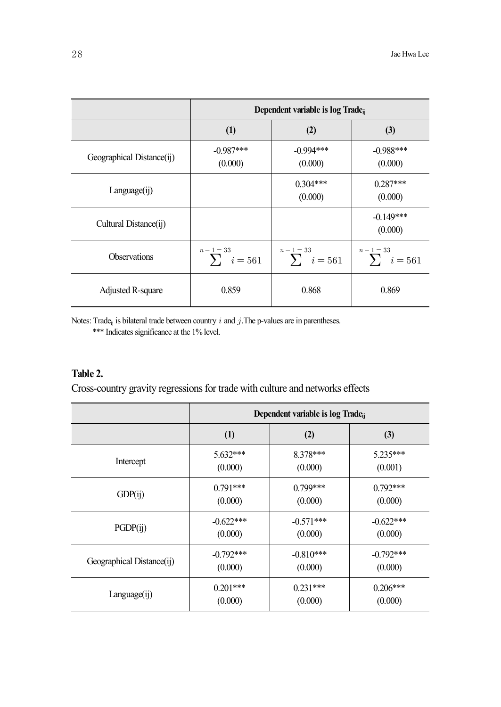|                           | Dependent variable is log Trade <sub>ii</sub> |                                    |                                    |
|---------------------------|-----------------------------------------------|------------------------------------|------------------------------------|
|                           | (1)                                           | (2)                                | (3)                                |
| Geographical Distance(ij) | $-0.987***$<br>(0.000)                        | $-0.994***$<br>(0.000)             | $-0.988***$<br>(0.000)             |
| Language(ij)              |                                               | $0.304***$<br>(0.000)              | $0.287***$<br>(0.000)              |
| Cultural Distance(ij)     |                                               |                                    | $-0.149***$<br>(0.000)             |
| <b>Observations</b>       | $n-1=33$<br>$\sum_{i}$ i = 561                | $n - 1 = 33$<br>$\sum_{i} i = 561$ | $n - 1 = 33$<br>$\sum_{i} i = 561$ |
| Adjusted R-square         | 0.859                                         | 0.868                              | 0.869                              |

Notes: Trade<sub>ij</sub> is bilateral trade between country  $i$  and  $j$ . The p-values are in parentheses. \*\*\* Indicates significance at the 1% level.

## **Table 2.**

Cross-country gravity regressions for trade with culture and networks effects

|                           | Dependent variable is log Trade <sub>ii</sub> |             |              |
|---------------------------|-----------------------------------------------|-------------|--------------|
|                           | (1)                                           | (2)         | (3)          |
| Intercept                 | $5.632***$                                    | $8.378***$  | $5.235***$   |
|                           | (0.000)                                       | (0.000)     | (0.001)      |
| GDP(i)                    | $0.791***$                                    | $0.799***$  | $0.792***$   |
|                           | (0.000)                                       | (0.000)     | (0.000)      |
| PGDP(ij)                  | $-0.622***$                                   | $-0.571***$ | $-0.622***$  |
|                           | (0.000)                                       | (0.000)     | (0.000)      |
| Geographical Distance(ij) | $-0.792$ ***                                  | $-0.810***$ | $-0.792$ *** |
|                           | (0.000)                                       | (0.000)     | (0.000)      |
| Language(ij)              | $0.201***$                                    | $0.231***$  | $0.206***$   |
|                           | (0.000)                                       | (0.000)     | (0.000)      |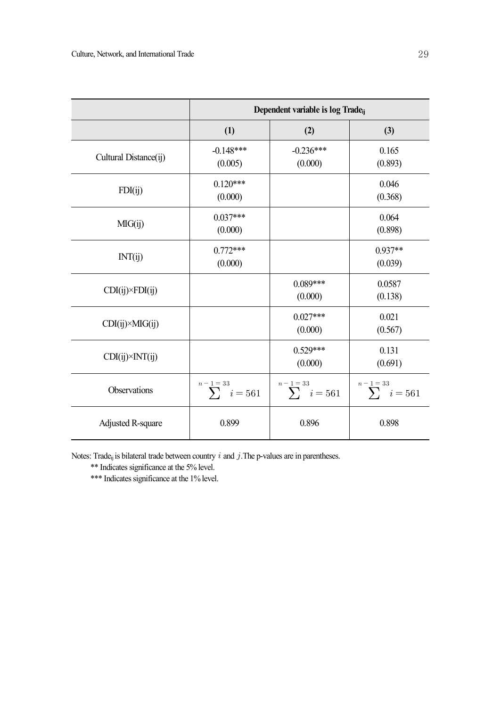|                         | Dependent variable is log Trade <sub>ij</sub> |                                    |                                    |
|-------------------------|-----------------------------------------------|------------------------------------|------------------------------------|
|                         | (1)                                           | (2)                                | (3)                                |
| Cultural Distance(ij)   | $-0.148***$<br>(0.005)                        | $-0.236***$<br>(0.000)             | 0.165<br>(0.893)                   |
| FDI(ij)                 | $0.120***$<br>(0.000)                         |                                    | 0.046<br>(0.368)                   |
| MG(ij)                  | $0.037***$<br>(0.000)                         |                                    | 0.064<br>(0.898)                   |
| INT(ij)                 | $0.772***$<br>(0.000)                         |                                    | $0.937**$<br>(0.039)               |
| $CDI(ij)\times FDI(ij)$ |                                               | $0.089***$<br>(0.000)              | 0.0587<br>(0.138)                  |
| $CDI(ij)\times MIG(ij)$ |                                               | $0.027***$<br>(0.000)              | 0.021<br>(0.567)                   |
| $CDI(ij)\times INT(ij)$ |                                               | $0.529***$<br>(0.000)              | 0.131<br>(0.691)                   |
| Observations            | $n - 1 = 33$<br>$\sum_{i} i = 561$            | $n - 1 = 33$<br>$\sum_{i} i = 561$ | $n - 1 = 33$<br>$\sum_{i} i = 561$ |
| Adjusted R-square       | 0.899                                         | 0.896                              | 0.898                              |

Notes: Trade<sub>ij</sub> is bilateral trade between country  $i$  and  $j$ . The p-values are in parentheses.

\*\* Indicates significance at the 5% level.

\*\*\* Indicates significance at the 1% level.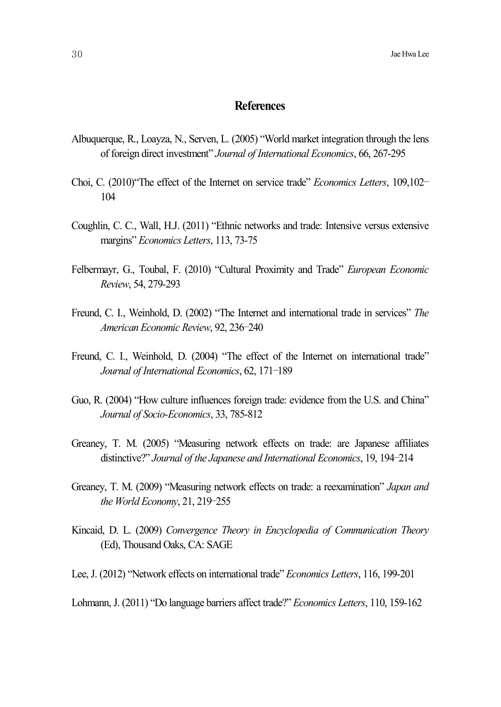## **References**

- Albuquerque, R., Loayza, N., Serven, L. (2005) "World market integration through the lens of foreign direct investment" *Journal of International Economics*, 66, 267-295
- Choi, C. (2010)"The effect of the Internet on service trade" *Economics Letters*, 109,102– 104
- Coughlin, C. C., Wall, H.J. (2011) "Ethnic networks and trade: Intensive versus extensive margins" *Economics Letters*, 113, 73-75
- Felbermayr, G., Toubal, F. (2010) "Cultural Proximity and Trade" *European Economic Review*, 54, 279-293
- Freund, C. I., Weinhold, D. (2002) "The Internet and international trade in services" *The American Economic Review*, 92, 236–240
- Freund, C. I., Weinhold, D. (2004) "The effect of the Internet on international trade" *Journal of International Economics*, 62, 171–189
- Guo, R. (2004) "How culture influences foreign trade: evidence from the U.S. and China" *Journal of Socio-Economics*, 33, 785-812
- Greaney, T. M. (2005) "Measuring network effects on trade: are Japanese affiliates distinctive?" *Journal of the Japanese and International Economics*, 19, 194–214
- Greaney, T. M. (2009) "Measuring network effects on trade: a reexamination" *Japan and the World Economy*, 21, 219–255
- Kincaid, D. L. (2009) *Convergence Theory in Encyclopedia of Communication Theory* (Ed), Thousand Oaks, CA: SAGE
- Lee,J. (2012) "Network effects on international trade" *Economics Letters*, 116, 199-201

Lohmann, J. (2011) "Do language barriers affect trade?" *Economics Letters*, 110, 159-162